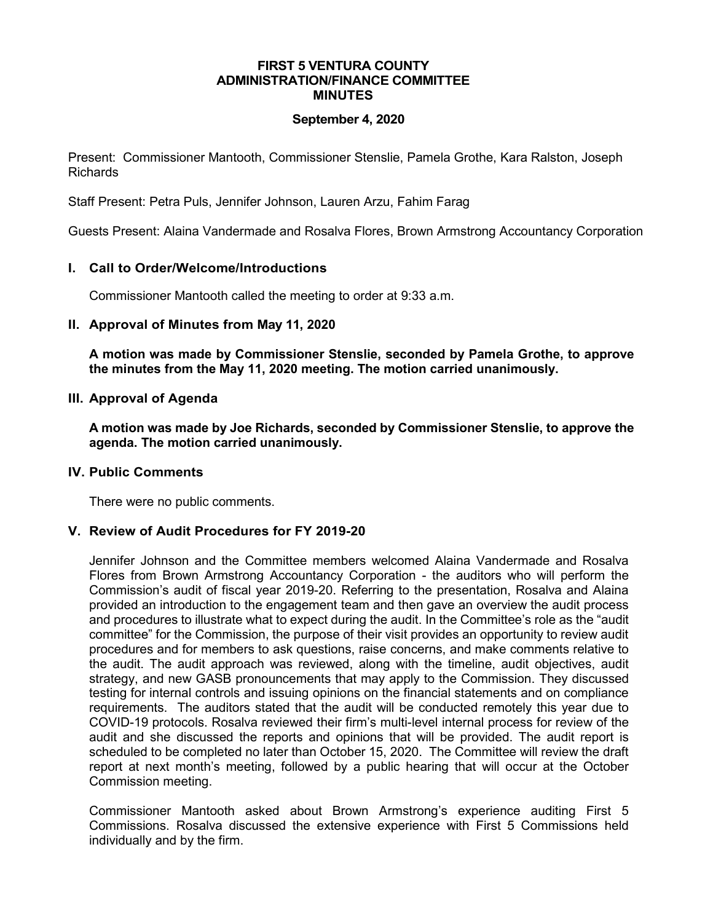#### **FIRST 5 VENTURA COUNTY ADMINISTRATION/FINANCE COMMITTEE MINUTES**

#### **September 4, 2020**

Present: Commissioner Mantooth, Commissioner Stenslie, Pamela Grothe, Kara Ralston, Joseph Richards

Staff Present: Petra Puls, Jennifer Johnson, Lauren Arzu, Fahim Farag

Guests Present: Alaina Vandermade and Rosalva Flores, Brown Armstrong Accountancy Corporation

# **I. Call to Order/Welcome/Introductions**

Commissioner Mantooth called the meeting to order at 9:33 a.m.

#### **II. Approval of Minutes from May 11, 2020**

**A motion was made by Commissioner Stenslie, seconded by Pamela Grothe, to approve the minutes from the May 11, 2020 meeting. The motion carried unanimously.**

#### **III. Approval of Agenda**

**A motion was made by Joe Richards, seconded by Commissioner Stenslie, to approve the agenda. The motion carried unanimously.**

#### **IV. Public Comments**

There were no public comments.

# **V. Review of Audit Procedures for FY 2019-20**

Jennifer Johnson and the Committee members welcomed Alaina Vandermade and Rosalva Flores from Brown Armstrong Accountancy Corporation - the auditors who will perform the Commission's audit of fiscal year 2019-20. Referring to the presentation, Rosalva and Alaina provided an introduction to the engagement team and then gave an overview the audit process and procedures to illustrate what to expect during the audit. In the Committee's role as the "audit committee" for the Commission, the purpose of their visit provides an opportunity to review audit procedures and for members to ask questions, raise concerns, and make comments relative to the audit. The audit approach was reviewed, along with the timeline, audit objectives, audit strategy, and new GASB pronouncements that may apply to the Commission. They discussed testing for internal controls and issuing opinions on the financial statements and on compliance requirements. The auditors stated that the audit will be conducted remotely this year due to COVID-19 protocols. Rosalva reviewed their firm's multi-level internal process for review of the audit and she discussed the reports and opinions that will be provided. The audit report is scheduled to be completed no later than October 15, 2020. The Committee will review the draft report at next month's meeting, followed by a public hearing that will occur at the October Commission meeting.

Commissioner Mantooth asked about Brown Armstrong's experience auditing First 5 Commissions. Rosalva discussed the extensive experience with First 5 Commissions held individually and by the firm.